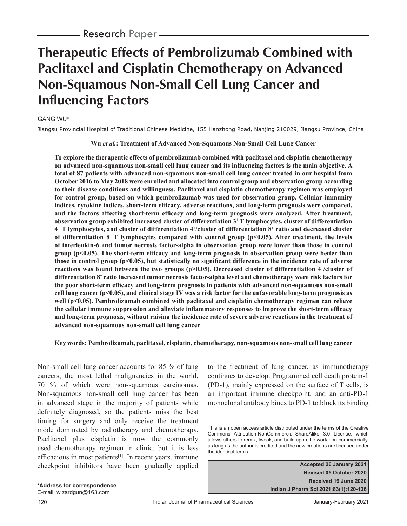# **Therapeutic Effects of Pembrolizumab Combined with Paclitaxel and Cisplatin Chemotherapy on Advanced Non-Squamous Non-Small Cell Lung Cancer and Influencing Factors**

### GANG WU\*

Jiangsu Provincial Hospital of Traditional Chinese Medicine, 155 Hanzhong Road, Nanjing 210029, Jiangsu Province, China

**Wu** *et al.***: Treatment of Advanced Non-Squamous Non-Small Cell Lung Cancer**

**To explore the therapeutic effects of pembrolizumab combined with paclitaxel and cisplatin chemotherapy**  on advanced non-squamous non-small cell lung cancer and its influencing factors is the main objective. A **total of 87 patients with advanced non-squamous non-small cell lung cancer treated in our hospital from October 2016 to May 2018 were enrolled and allocated into control group and observation group according to their disease conditions and willingness. Paclitaxel and cisplatin chemotherapy regimen was employed for control group, based on which pembrolizumab was used for observation group. Cellular immunity**  indices, cytokine indices, short-term efficacy, adverse reactions, and long-term prognosis were compared, and the factors affecting short-term efficacy and long-term prognosis were analyzed. After treatment, **observation group exhibited increased cluster of differentiation 3+ T lymphocytes, cluster of differentiation 4+ T lymphocytes, and cluster of differentiation 4+ /cluster of differentiation 8+ ratio and decreased cluster of differentiation 8+ T lymphocytes compared with control group (p<0.05). After treatment, the levels of interleukin-6 and tumor necrosis factor-alpha in observation group were lower than those in control**  group (p<0.05). The short-term efficacy and long-term prognosis in observation group were better than those in control group  $(p<0.05)$ , but statistically no significant difference in the incidence rate of adverse reactions was found between the two groups (p>0.05). Decreased cluster of differentiation 4<sup>+</sup>/cluster of **differentiation 8+ ratio increased tumor necrosis factor-alpha level and chemotherapy were risk factors for**  the poor short-term efficacy and long-term prognosis in patients with advanced non-squamous non-small **cell lung cancer (p<0.05), and clinical stage IV was a risk factor for the unfavorable long-term prognosis as well (p<0.05). Pembrolizumab combined with paclitaxel and cisplatin chemotherapy regimen can relieve**  the cellular immune suppression and alleviate inflammatory responses to improve the short-term efficacy **and long-term prognosis, without raising the incidence rate of severe adverse reactions in the treatment of advanced non-squamous non-small cell lung cancer**

### **Key words: Pembrolizumab, paclitaxel, cisplatin, chemotherapy, non-squamous non-small cell lung cancer**

Non-small cell lung cancer accounts for 85 % of lung cancers, the most lethal malignancies in the world, 70 % of which were non-squamous carcinomas. Non-squamous non-small cell lung cancer has been in advanced stage in the majority of patients while definitely diagnosed, so the patients miss the best timing for surgery and only receive the treatment mode dominated by radiotherapy and chemotherapy. Paclitaxel plus cisplatin is now the commonly used chemotherapy regimen in clinic, but it is less efficacious in most patients<sup>[1]</sup>. In recent years, immune checkpoint inhibitors have been gradually applied to the treatment of lung cancer, as immunotherapy continues to develop. Programmed cell death protein-1 ( PD-1), mainly expressed on the surface of T cells, is an important immune checkpoint, and an anti-PD-1 monoclonal antibody binds to PD-1 to block its binding

**Accepted 26 January 2021 Revised 05 October 2020 Received 19 June 2020 Indian J Pharm Sci 2021;83(1):120-126**

This is an open access article distributed under the terms of the Creative Commons Attribution-NonCommercial-ShareAlike 3.0 License, which allows others to remix, tweak, and build upon the work non-commercially, as long as the author is credited and the new creations are licensed under the identical terms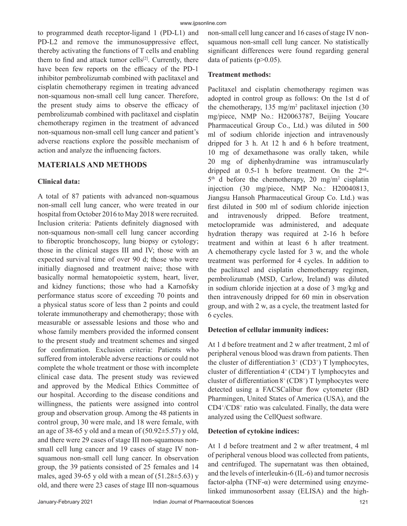to programmed death receptor-ligand 1 (PD-L1) and PD-L2 and remove the immunosuppressive effect, thereby activating the functions of T cells and enabling them to find and attack tumor cells<sup>[2]</sup>. Currently, there have been few reports on the efficacy of the PD-1 inhibitor pembrolizumab combined with paclitaxel and cisplatin chemotherapy regimen in treating advanced non-squamous non-small cell lung cancer. Therefore, the present study aims to observe the efficacy of pembrolizumab combined with paclitaxel and cisplatin chemotherapy regimen in the treatment of advanced non-squamous non-small cell lung cancer and patient's adverse reactions explore the possible mechanism of action and analyze the influencing factors.

# **MATERIALS AND METHODS**

# **Clinical data:**

A total of 87 patients with advanced non-squamous non-small cell lung cancer, who were treated in our hospital from October 2016 to May 2018 were recruited. Inclusion criteria: Patients definitely diagnosed with non-squamous non-small cell lung cancer according to fiberoptic bronchoscopy, lung biopsy or cytology; those in the clinical stages III and IV; those with an expected survival time of over 90 d; those who were initially diagnosed and treatment naive; those with basically normal hematopoietic system, heart, liver, and kidney functions; those who had a Karnofsky performance status score of exceeding 70 points and a physical status score of less than 2 points and could tolerate immunotherapy and chemotherapy; those with measurable or assessable lesions and those who and whose family members provided the informed consent to the present study and treatment schemes and singed for confirmation. Exclusion criteria: Patients who suffered from intolerable adverse reactions or could not complete the whole treatment or those with incomplete clinical case data. The present study was reviewed and approved by the Medical Ethics Committee of our hospital. According to the disease conditions and willingness, the patients were assigned into control group and observation group. Among the 48 patients in control group, 30 were male, and 18 were female, with an age of 38-65 y old and a mean of  $(50.92 \pm 5.57)$  y old, and there were 29 cases of stage III non-squamous nonsmall cell lung cancer and 19 cases of stage IV nonsquamous non-small cell lung cancer. In observation group, the 39 patients consisted of 25 females and 14 males, aged 39-65 y old with a mean of  $(51.28 \pm 5.63)$  y old, and there were 23 cases of stage III non-squamous

non-small cell lung cancer and 16 cases of stage IV nonsquamous non-small cell lung cancer. No statistically significant differences were found regarding general data of patients  $(p>0.05)$ .

## **Treatment methods:**

Paclitaxel and cisplatin chemotherapy regimen was adopted in control group as follows: On the 1st d of the chemotherapy,  $135 \text{ mg/m}^2$  paclitaxel injection  $(30 \text{ g})$ mg/piece, NMP No.: H20063787, Beijing Youcare Pharmaceutical Group Co., Ltd.) was diluted in 500 ml of sodium chloride injection and intravenously dripped for 3 h. At 12 h and 6 h before treatment, 10 mg of dexamethasone was orally taken, while 20 mg of diphenhydramine was intramuscularly dripped at 0.5-1 h before treatment. On the 2nd- $5<sup>th</sup>$  d before the chemotherapy, 20 mg/m<sup>2</sup> cisplatin injection (30 mg/piece, NMP No.: H20040813, Jiangsu Hansoh Pharmaceutical Group Co. Ltd.) was first diluted in 500 ml of sodium chloride injection and intravenously dripped. Before treatment, metoclopramide was administered, and adequate hydration therapy was required at 2-16 h before treatment and within at least 6 h after treatment. A chemotherapy cycle lasted for 3 w, and the whole treatment was performed for 4 cycles. In addition to the paclitaxel and cisplatin chemotherapy regimen, pembrolizumab (MSD, Carlow, Ireland) was diluted in sodium chloride injection at a dose of 3 mg/kg and then intravenously dripped for 60 min in observation group, and with 2 w, as a cycle, the treatment lasted for 6 cycles.

## **Detection of cellular immunity indices:**

At 1 d before treatment and 2 w after treatment, 2 ml of peripheral venous blood was drawn from patients. Then the cluster of differentiation  $3^+$  (CD3<sup>+</sup>) T lymphocytes, cluster of differentiation  $4^+$  (CD4<sup>+</sup>) T lymphocytes and cluster of differentiation  $8^+$  (CD8<sup>+</sup>) T lymphocytes were detected using a FACSCalibur flow cytometer (BD Pharmingen, United States of America (USA), and the CD4+ /CD8+ ratio was calculated. Finally, the data were analyzed using the CellQuest software.

# **Detection of cytokine indices:**

At 1 d before treatment and 2 w after treatment, 4 ml of peripheral venous blood was collected from patients, and centrifuged. The supernatant was then obtained, and the levels of interleukin-6 (IL-6) and tumor necrosis factor-alpha (TNF- $\alpha$ ) were determined using enzymelinked immunosorbent assay (ELISA) and the high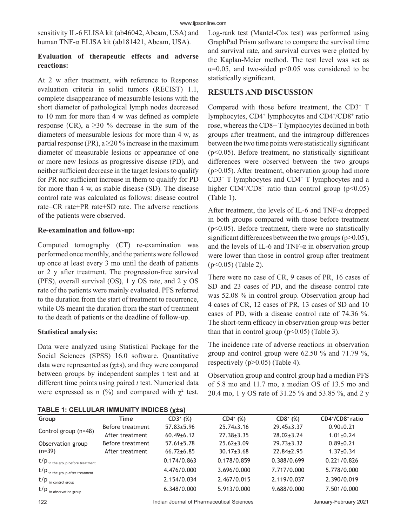sensitivity IL-6 ELISA kit (ab46042, Abcam, USA) and human TNF-α ELISA kit (ab181421, Abcam, USA).

## **Evaluation of therapeutic effects and adverse reactions:**

At 2 w after treatment, with reference to Response evaluation criteria in solid tumors (RECIST) 1.1, complete disappearance of measurable lesions with the short diameter of pathological lymph nodes decreased to 10 mm for more than 4 w was defined as complete response (CR), a  $\geq$ 30 % decrease in the sum of the diameters of measurable lesions for more than 4 w, as partial response (PR), a  $\geq$ 20% increase in the maximum diameter of measurable lesions or appearance of one or more new lesions as progressive disease (PD), and neither sufficient decrease in the target lesions to qualify for PR nor sufficient increase in them to qualify for PD for more than 4 w, as stable disease (SD). The disease control rate was calculated as follows: disease control rate=CR rate+PR rate+SD rate. The adverse reactions of the patients were observed.

# **Re-examination and follow-up:**

Computed tomography (CT) re-examination was performed once monthly, and the patients were followed up once at least every 3 mo until the death of patients or 2 y after treatment. The progression-free survival (PFS), overall survival (OS), 1 y OS rate, and 2 y OS rate of the patients were mainly evaluated. PFS referred to the duration from the start of treatment to recurrence, while OS meant the duration from the start of treatment to the death of patients or the deadline of follow-up.

# **Statistical analysis:**

Data were analyzed using Statistical Package for the Social Sciences (SPSS) 16.0 software. Quantitative data were represented as ( $χ±s$ ), and they were compared between groups by independent samples t test and at different time points using paired *t* test. Numerical data were expressed as n  $(\%)$  and compared with  $\chi^2$  test.

|  |  | TABLE 1: CELLULAR IMMUNITY INDICES (X±s) |  |
|--|--|------------------------------------------|--|
|  |  |                                          |  |

Log-rank test (Mantel-Cox test) was performed using GraphPad Prism software to compare the survival time and survival rate, and survival curves were plotted by the Kaplan-Meier method. The test level was set as  $\alpha$ =0.05, and two-sided p<0.05 was considered to be statistically significant.

# **RESULTS AND DISCUSSION**

Compared with those before treatment, the CD3<sup>+</sup> T lymphocytes, CD4<sup>+</sup> lymphocytes and CD4<sup>+</sup>/CD8<sup>+</sup> ratio rose, whereas the CD8+ T lymphocytes declined in both groups after treatment, and the intragroup differences between the two time points were statistically significant ( $p$ <0.05). Before treatment, no statistically significant differences were observed between the two groups  $(p>0.05)$ . After treatment, observation group had more  $CD3<sup>+</sup>$  T lymphocytes and  $CD4<sup>+</sup>$  T lymphocytes and a higher  $CD4^{\dagger}/CD8^{\dagger}$  ratio than control group (p<0.05) (Table 1).

After treatment, the levels of IL-6 and TNF-α dropped in both groups compared with those before treatment  $(p<0.05)$ . Before treatment, there were no statistically significant differences between the two groups ( $p$  $>$ 0.05), and the levels of IL-6 and TNF- $\alpha$  in observation group were lower than those in control group after treatment (p<0.05) (Table 2).

There were no case of CR, 9 cases of PR, 16 cases of SD and 23 cases of PD, and the disease control rate was 52.08 % in control group. Observation group had 4 cases of CR, 12 cases of PR, 13 cases of SD and 10 cases of PD, with a disease control rate of 74.36 %. The short-term efficacy in observation group was better than that in control group  $(p<0.05)$  (Table 3).

The incidence rate of adverse reactions in observation group and control group were 62.50 % and 71.79 %, respectively (p>0.05) (Table 4).

Observation group and control group had a median PFS of 5.8 mo and 11.7 mo, a median OS of 13.5 mo and 20.4 mo, 1 y OS rate of 31.25 % and 53.85 %, and 2 y

| Group                               | Time             | $CD3^{+}$ (%)    | $CD4^{+}$ (%)    | $CD8^+(%)$       | CD4+/CD8+ ratio |
|-------------------------------------|------------------|------------------|------------------|------------------|-----------------|
|                                     | Before treatment | $57.83 \pm 5.96$ | $25.74 \pm 3.16$ | $29.45 \pm 3.37$ | $0.90 \pm 0.21$ |
| Control group (n=48)                | After treatment  | $60.49 \pm 6.12$ | $27.38 \pm 3.35$ | $28.02 \pm 3.24$ | $1.01 \pm 0.24$ |
| Observation group                   | Before treatment | $57.61 \pm 5.78$ | $25.62 \pm 3.09$ | $29.73 \pm 3.32$ | $0.89 \pm 0.21$ |
| $(n=39)$                            | After treatment  | $66.72 \pm 6.85$ | $30.17 \pm 3.68$ | $22.84 \pm 2.95$ | $1.37 \pm 0.34$ |
| $t/p$ in the group before treatment |                  | 0.174/0.863      | 0.178/0.859      | 0.388/0.699      | 0.221/0.826     |
| $t/p$ in the group after treatment  |                  | 4.476/0.000      | 3.696/0.000      | 7.717/0.000      | 5.778/0.000     |
| $t/p$ in control group              |                  | 2.154/0.034      | 2.467/0.015      | 2.119/0.037      | 2.390/0.019     |
| $t/p$ in observation group          |                  | 6.348/0.000      | 5.913/0.000      | 9.688/0.000      | 7.501/0.000     |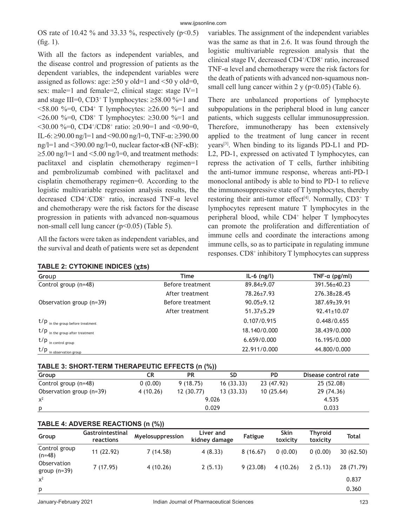OS rate of 10.42 % and 33.33 %, respectively  $(p<0.5)$  $(fig. 1)$ .

With all the factors as independent variables, and the disease control and progression of patients as the dependent variables, the independent variables were assigned as follows: age:  $\geq 50$  y old=1 and <50 y old=0, sex: male=1 and female=2, clinical stage: stage IV=1 and stage III=0,  $CD3+T$  lymphocytes:  $\geq$ 58.00 %=1 and  $58.00\% = 0$ , CD4<sup>+</sup> T lymphocytes:  $\ge 26.00\% = 1$  and  $\leq 26.00 \text{ %} = 0$ , CD8<sup>+</sup> T lymphocytes:  $\geq 30.00 \text{ %} = 1$  and  $\leq 30.00$  %=0, CD4<sup>+</sup>/CD8<sup>+</sup> ratio:  $\geq 0.90=1$  and  $\leq 0.90=0$ , IL-6:  $\geq$ 90.00 ng/l=1 and <90.00 ng/l=0, TNF-α:  $\geq$ 390.00 ng/l=1 and <390.00 ng/l=0, nuclear factor-κB (NF-κB):  $\geq$ 5.00 ng/l=1 and <5.00 ng/l=0, and treatment methods: paclitaxel and cisplatin chemotherapy regimen=1 and pembrolizumab combined with paclitaxel and cisplatin chemotherapy regimen=0. According to the logistic multivariable regression analysis results, the decreased CD4+ /CD8+ ratio, increased TNF-α level and chemotherapy were the risk factors for the disease progression in patients with advanced non-squamous non-small cell lung cancer (p<0.05) (Table 5).

All the factors were taken as independent variables, and the survival and death of patients were set as dependent

|  | TABLE 2: CYTOKINE INDICES (X±s) |  |
|--|---------------------------------|--|
|--|---------------------------------|--|

variables. The assignment of the independent variables was the same as that in 2.6. It was found through the logistic multivariable regression analysis that the clinical stage IV, decreased CD4+/CD8+ ratio, increased TNF- $\alpha$  level and chemotherapy were the risk factors for the death of patients with advanced non-squamous nonsmall cell lung cancer within 2 y ( $p<0.05$ ) (Table 6).

There are unbalanced proportions of lymphocyte subpopulations in the peripheral blood in lung cancer patients, which suggests cellular immunosuppression. Therefore, immunotherapy has been extensively applied to the treatment of lung cancer in recent years[3]. When binding to its ligands PD-L1 and PD-L2, PD-1, expressed on activated T lymphocytes, can repress the activation of T cells, further inhibiting the anti-tumor immune response, whereas anti-PD-1 monoclonal antibody is able to bind to PD-1 to relieve the immunosuppressive state of T lymphocytes, thereby restoring their anti-tumor effect<sup>[4]</sup>. Normally,  $CD3^+$  T lymphocytes represent mature T lymphocytes in the peripheral blood, while CD4+ helper T lymphocytes can promote the proliferation and differentiation of immune cells and coordinate the interactions among immune cells, so as to participate in regulating immune responses. CD8+ inhibitory T lymphocytes can suppress

| Group                               | $\mathbf{v}$<br>Time | $IL-6$ (ng/l)    | TNF- $\alpha$ (pg/ml) |
|-------------------------------------|----------------------|------------------|-----------------------|
| Control group (n=48)                | Before treatment     | 89.84±9.07       | 391.56±40.23          |
|                                     | After treatment      | 78.26±7.93       | $276.38 \pm 28.45$    |
| Observation group (n=39)            | Before treatment     | $90.05 \pm 9.12$ | 387.69±39.91          |
|                                     | After treatment      | $51.37 \pm 5.29$ | $92.41 \pm 10.07$     |
| $t/p$ in the group before treatment |                      | 0.107/0.915      | 0.448/0.655           |
| $t/p$ in the group after treatment  |                      | 18.140/0.000     | 38.439/0.000          |
| $t/p$ in control group              |                      | 6.659/0.000      | 16.195/0.000          |
| $t/p$ in observation group          |                      | 22.911/0.000     | 44.800/0.000          |

| TABLE 3: SHORT-TERM THERAPEUTIC EFFECTS (n (%)) |          |           |           |            |                      |  |  |
|-------------------------------------------------|----------|-----------|-----------|------------|----------------------|--|--|
| Group                                           | CR       | PR        | <b>SD</b> | <b>PD</b>  | Disease control rate |  |  |
| Control group $(n=48)$                          | 0(0.00)  | 9(18.75)  | 16(33.33) | 23 (47.92) | 25 (52.08)           |  |  |
| Observation group (n=39)                        | 4(10.26) | 12(30.77) | 13(33.33) | 10(25.64)  | 29 (74.36)           |  |  |
| $x^2$                                           |          |           | 9.026     |            | 4.535                |  |  |
| p                                               | 0.029    |           |           |            | 0.033                |  |  |

### **TABLE 4: ADVERSE REACTIONS (n (%))**

|            |          | kidney damage |          | toxicity | toxicity |            |
|------------|----------|---------------|----------|----------|----------|------------|
| 11 (22.92) | 7(14.58) | 4(8.33)       | 8(16.67) | 0(0.00)  | 0(0.00)  | 30(62.50)  |
| 7(17.95)   | 4(10.26) | 2(5.13)       | 9(23.08) | 4(10.26) | 2(5.13)  | 28 (71.79) |
|            |          |               |          |          |          | 0.837      |
|            |          |               |          |          |          | 0.360      |
|            |          |               |          |          |          |            |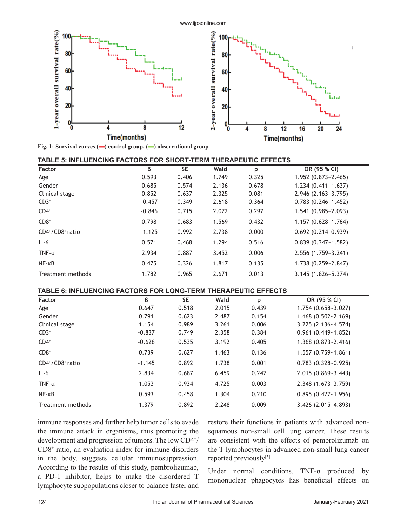

**Fig. 1: Survival curves (▬) control group, (▬) observational group**

| TABLE 5: INFLUENCING FACTORS FOR SHORT-TERM THERAPEUTIC EFFECTS |  |  |
|-----------------------------------------------------------------|--|--|
|-----------------------------------------------------------------|--|--|

| <b>Factor</b>     | ß        | <b>SE</b> | Wald  | p     | OR (95 % CI)           |
|-------------------|----------|-----------|-------|-------|------------------------|
| Age               | 0.593    | 0.406     | 1.749 | 0.325 | 1.952 (0.873~2.465)    |
| Gender            | 0.685    | 0.574     | 2.136 | 0.678 | $1.234(0.411-1.637)$   |
| Clinical stage    | 0.852    | 0.637     | 2.325 | 0.081 | $2.946(2.163-3.795)$   |
| $CD3+$            | $-0.457$ | 0.349     | 2.618 | 0.364 | $0.783(0.246 - 1.452)$ |
| $CD4^+$           | $-0.846$ | 0.715     | 2.072 | 0.297 | 1.541 (0.985~2.093)    |
| $CD8+$            | 0.798    | 0.683     | 1.569 | 0.432 | $1.157(0.628-1.764)$   |
| CD4+/CD8+ ratio   | $-1.125$ | 0.992     | 2.738 | 0.000 | $0.692(0.214-0.939)$   |
| $IL-6$            | 0.571    | 0.468     | 1.294 | 0.516 | $0.839(0.347-1.582)$   |
| $TNF - \alpha$    | 2.934    | 0.887     | 3.452 | 0.006 | 2.556 (1.759~3.241)    |
| $NF - KB$         | 0.475    | 0.326     | 1.817 | 0.135 | 1.738 (0.259~2.847)    |
| Treatment methods | 1.782    | 0.965     | 2.671 | 0.013 | $3.145(1.826 - 5.374)$ |

### **TABLE 6: INFLUENCING FACTORS FOR LONG-TERM THERAPEUTIC EFFECTS**

| <b>Factor</b>     | ß        | <b>SE</b> | Wald  |       | OR (95 % CI)           |
|-------------------|----------|-----------|-------|-------|------------------------|
|                   |          |           |       | p     |                        |
| Age               | 0.647    | 0.518     | 2.015 | 0.439 | $1.754(0.658-3.027)$   |
| Gender            | 0.791    | 0.623     | 2.487 | 0.154 | $1.468(0.502 - 2.169)$ |
| Clinical stage    | 1.154    | 0.989     | 3.261 | 0.006 | 3.225 (2.136~4.574)    |
| $CD3+$            | $-0.837$ | 0.749     | 2.358 | 0.384 | $0.961(0.449-1.852)$   |
| $CD4^+$           | $-0.626$ | 0.535     | 3.192 | 0.405 | $1.368(0.873 - 2.416)$ |
| $CD8+$            | 0.739    | 0.627     | 1.463 | 0.136 | $1.557(0.759 - 1.861)$ |
| CD4+/CD8+ ratio   | $-1.145$ | 0.892     | 1.738 | 0.001 | $0.783(0.328-0.925)$   |
| $IL-6$            | 2.834    | 0.687     | 6.459 | 0.247 | $2.015(0.869 - 3.443)$ |
| TNF- $\alpha$     | 1.053    | 0.934     | 4.725 | 0.003 | 2.348 (1.673~3.759)    |
| $NF - KB$         | 0.593    | 0.458     | 1.304 | 0.210 | $0.895(0.427 - 1.956)$ |
| Treatment methods | 1.379    | 0.892     | 2.248 | 0.009 | 3.426 (2.015~4.893)    |

immune responses and further help tumor cells to evade the immune attack in organisms, thus promoting the development and progression of tumors. The low CD4+ / CD8+ ratio, an evaluation index for immune disorders in the body, suggests cellular immunosuppression. According to the results of this study, pembrolizumab, a PD-1 inhibitor, helps to make the disordered T lymphocyte subpopulations closer to balance faster and

restore their functions in patients with advanced nonsquamous non-small cell lung cancer. These results are consistent with the effects of pembrolizumab on the T lymphocytes in advanced non-small lung cancer reported previously<sup>[5]</sup>.

Under normal conditions, TNF-α produced by mononuclear phagocytes has beneficial effects on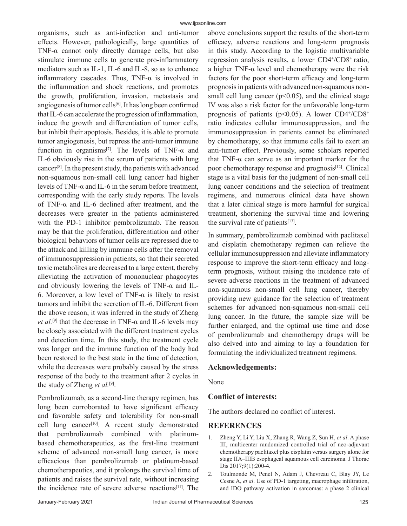organisms, such as anti-infection and anti-tumor effects. However, pathologically, large quantities of TNF- $\alpha$  cannot only directly damage cells, but also stimulate immune cells to generate pro-inflammatory mediators such as IL-1, IL-6 and IL-8, so as to enhance inflammatory cascades. Thus,  $TNF-\alpha$  is involved in the inflammation and shock reactions, and promotes the growth, proliferation, invasion, metastasis and angiogenesis of tumor cells<sup>[6]</sup>. It has long been confirmed that IL-6 can accelerate the progression of inflammation, induce the growth and differentiation of tumor cells, but inhibit their apoptosis. Besides, it is able to promote tumor angiogenesis, but repress the anti-tumor immune function in organisms<sup>[7]</sup>. The levels of TNF- $\alpha$  and IL-6 obviously rise in the serum of patients with lung cancer[8]. In the present study, the patients with advanced non-squamous non-small cell lung cancer had higher levels of TNF-α and IL-6 in the serum before treatment, corresponding with the early study reports. The levels of TNF-α and IL-6 declined after treatment, and the decreases were greater in the patients administered with the PD-1 inhibitor pembrolizumab. The reason may be that the proliferation, differentiation and other biological behaviors of tumor cells are repressed due to the attack and killing by immune cells after the removal of immunosuppression in patients, so that their secreted toxic metabolites are decreased to a large extent, thereby alleviating the activation of mononuclear phagocytes and obviously lowering the levels of TNF-α and IL-6. Moreover, a low level of TNF- $\alpha$  is likely to resist tumors and inhibit the secretion of IL-6. Different from the above reason, it was inferred in the study of Zheng *et al.*<sup>[9]</sup> that the decrease in TNF- $\alpha$  and IL-6 levels may be closely associated with the different treatment cycles and detection time. In this study, the treatment cycle was longer and the immune function of the body had been restored to the best state in the time of detection, while the decreases were probably caused by the stress response of the body to the treatment after 2 cycles in the study of Zheng *et al.*[9].

Pembrolizumab, as a second-line therapy regimen, has long been corroborated to have significant efficacy and favorable safety and tolerability for non-small cell lung cancer<sup>[10]</sup>. A recent study demonstrated that pembrolizumab combined with platinumbased chemotherapeutics, as the first-line treatment scheme of advanced non-small lung cancer, is more effi cacious than pembrolizumab or platinum-based chemotherapeutics, and it prolongs the survival time of patients and raises the survival rate, without increasing the incidence rate of severe adverse reactions $[11]$ . The above conclusions support the results of the short-term efficacy, adverse reactions and long-term prognosis in this study. According to the logistic multivariable regression analysis results, a lower CD4+/CD8+ ratio, a higher TNF- $\alpha$  level and chemotherapy were the risk factors for the poor short-term efficacy and long-term prognosis in patients with advanced non-squamous nonsmall cell lung cancer ( $p<0.05$ ), and the clinical stage IV was also a risk factor for the unfavorable long-term prognosis of patients ( $p$ <0.05). A lower CD4<sup>+</sup>/CD8<sup>+</sup> ratio indicates cellular immunosuppression, and the immunosuppression in patients cannot be eliminated by chemotherapy, so that immune cells fail to exert an anti-tumor effect. Previously, some scholars reported that TNF-α can serve as an important marker for the poor chemotherapy response and prognosis<sup>[12]</sup>. Clinical stage is a vital basis for the judgment of non-small cell lung cancer conditions and the selection of treatment regimens, and numerous clinical data have shown that a later clinical stage is more harmful for surgical treatment, shortening the survival time and lowering the survival rate of patients $[13]$ .

In summary, pembrolizumab combined with paclitaxel and cisplatin chemotherapy regimen can relieve the cellular immunosuppression and alleviate inflammatory response to improve the short-term efficacy and longterm prognosis, without raising the incidence rate of severe adverse reactions in the treatment of advanced non-squamous non-small cell lung cancer, thereby providing new guidance for the selection of treatment schemes for advanced non-squamous non-small cell lung cancer. In the future, the sample size will be further enlarged, and the optimal use time and dose of pembrolizumab and chemotherapy drugs will be also delved into and aiming to lay a foundation for formulating the individualized treatment regimens.

### **Acknowledgements:**

None

### **Conflict of interests:**

The authors declared no conflict of interest.

### **REFERENCES**

- 1. Zheng Y, Li Y, Liu X, Zhang R, Wang Z, Sun H, *et al*. A phase III, multicenter randomized controlled trial of neo-adjuvant chemotherapy paclitaxel plus cisplatin versus surgery alone for stage IIA–IIIB esophageal squamous cell carcinoma. J Thorac Dis 2017;9(1):200-4.
- 2. Toulmonde M, Penel N, Adam J, Chevreau C, Blay JY, Le Cesne A, et al. Use of PD-1 targeting, macrophage infiltration, and IDO pathway activation in sarcomas: a phase 2 clinical